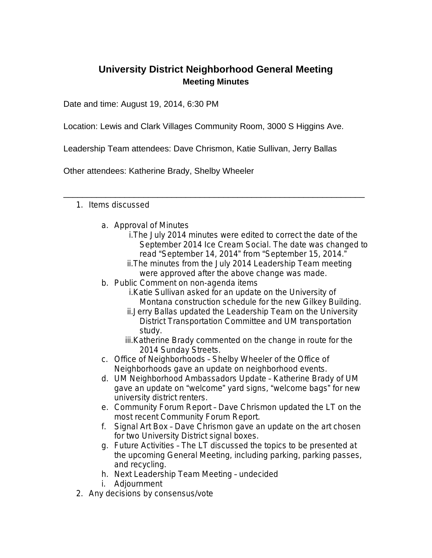## **University District Neighborhood General Meeting Meeting Minutes**

Date and time: August 19, 2014, 6:30 PM

Location: Lewis and Clark Villages Community Room, 3000 S Higgins Ave.

Leadership Team attendees: Dave Chrismon, Katie Sullivan, Jerry Ballas

\_\_\_\_\_\_\_\_\_\_\_\_\_\_\_\_\_\_\_\_\_\_\_\_\_\_\_\_\_\_\_\_\_\_\_\_\_\_\_\_\_\_\_\_\_\_\_\_\_\_\_\_\_\_\_\_\_\_\_\_\_\_\_\_

Other attendees: Katherine Brady, Shelby Wheeler

## 1. Items discussed

- a. Approval of Minutes
	- i.The July 2014 minutes were edited to correct the date of the September 2014 Ice Cream Social. The date was changed to read "September 14, 2014" from "September 15, 2014."
	- ii.The minutes from the July 2014 Leadership Team meeting were approved after the above change was made.
- b. Public Comment on non-agenda items
	- i.Katie Sullivan asked for an update on the University of Montana construction schedule for the new Gilkey Building.
	- ii.Jerry Ballas updated the Leadership Team on the University District Transportation Committee and UM transportation study.
	- iii.Katherine Brady commented on the change in route for the 2014 Sunday Streets.
- c. Office of Neighborhoods Shelby Wheeler of the Office of Neighborhoods gave an update on neighborhood events.
- d. UM Neighborhood Ambassadors Update Katherine Brady of UM gave an update on "welcome" yard signs, "welcome bags" for new university district renters.
- e. Community Forum Report Dave Chrismon updated the LT on the most recent Community Forum Report.
- f. Signal Art Box Dave Chrismon gave an update on the art chosen for two University District signal boxes.
- g. Future Activities The LT discussed the topics to be presented at the upcoming General Meeting, including parking, parking passes, and recycling.
- h. Next Leadership Team Meeting undecided
- i. Adjournment
- 2. Any decisions by consensus/vote